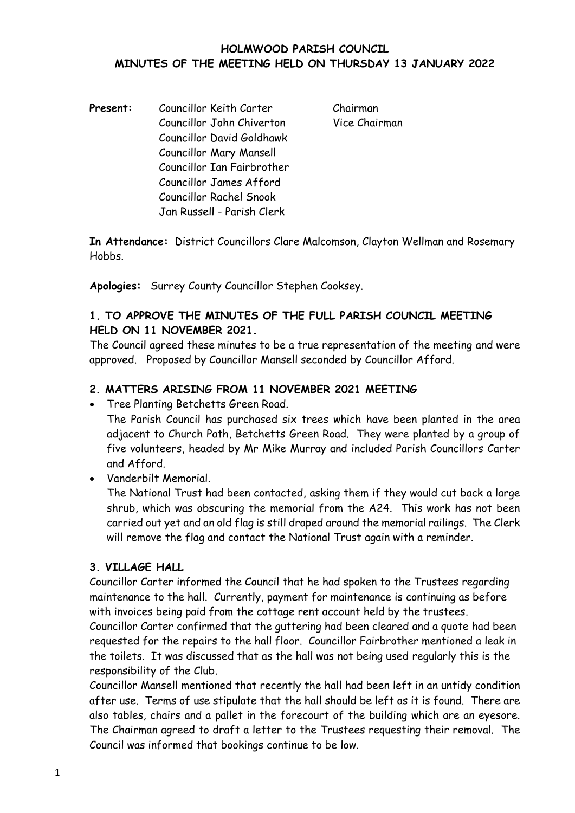#### **HOLMWOOD PARISH COUNCIL MINUTES OF THE MEETING HELD ON THURSDAY 13 JANUARY 2022**

Present: Councillor Keith Carter Chairman Councillor John Chiverton Vice Chairman Councillor David Goldhawk Councillor Mary Mansell Councillor Ian Fairbrother Councillor James Afford Councillor Rachel Snook Jan Russell - Parish Clerk

**In Attendance:** District Councillors Clare Malcomson, Clayton Wellman and Rosemary **Hobbs** 

**Apologies:** Surrey County Councillor Stephen Cooksey.

## **1. TO APPROVE THE MINUTES OF THE FULL PARISH COUNCIL MEETING HELD ON 11 NOVEMBER 2021.**

The Council agreed these minutes to be a true representation of the meeting and were approved. Proposed by Councillor Mansell seconded by Councillor Afford.

## **2. MATTERS ARISING FROM 11 NOVEMBER 2021 MEETING**

• Tree Planting Betchetts Green Road.

The Parish Council has purchased six trees which have been planted in the area adjacent to Church Path, Betchetts Green Road. They were planted by a group of five volunteers, headed by Mr Mike Murray and included Parish Councillors Carter and Afford.

• Vanderbilt Memorial.

The National Trust had been contacted, asking them if they would cut back a large shrub, which was obscuring the memorial from the A24. This work has not been carried out yet and an old flag is still draped around the memorial railings. The Clerk will remove the flag and contact the National Trust again with a reminder.

#### **3. VILLAGE HALL**

Councillor Carter informed the Council that he had spoken to the Trustees regarding maintenance to the hall. Currently, payment for maintenance is continuing as before with invoices being paid from the cottage rent account held by the trustees.

Councillor Carter confirmed that the guttering had been cleared and a quote had been requested for the repairs to the hall floor. Councillor Fairbrother mentioned a leak in the toilets. It was discussed that as the hall was not being used regularly this is the responsibility of the Club.

Councillor Mansell mentioned that recently the hall had been left in an untidy condition after use. Terms of use stipulate that the hall should be left as it is found. There are also tables, chairs and a pallet in the forecourt of the building which are an eyesore. The Chairman agreed to draft a letter to the Trustees requesting their removal. The Council was informed that bookings continue to be low.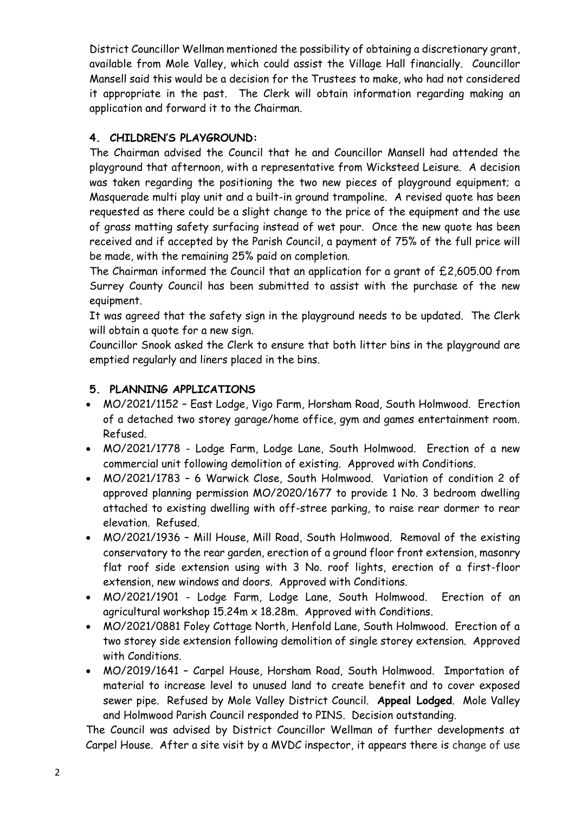District Councillor Wellman mentioned the possibility of obtaining a discretionary grant, available from Mole Valley, which could assist the Village Hall financially. Councillor Mansell said this would be a decision for the Trustees to make, who had not considered it appropriate in the past. The Clerk will obtain information regarding making an application and forward it to the Chairman.

# **4. CHILDREN'S PLAYGROUND:**

The Chairman advised the Council that he and Councillor Mansell had attended the playground that afternoon, with a representative from Wicksteed Leisure. A decision was taken regarding the positioning the two new pieces of playground equipment; a Masquerade multi play unit and a built-in ground trampoline. A revised quote has been requested as there could be a slight change to the price of the equipment and the use of grass matting safety surfacing instead of wet pour. Once the new quote has been received and if accepted by the Parish Council, a payment of 75% of the full price will be made, with the remaining 25% paid on completion.

The Chairman informed the Council that an application for a grant of £2,605.00 from Surrey County Council has been submitted to assist with the purchase of the new equipment.

It was agreed that the safety sign in the playground needs to be updated. The Clerk will obtain a quote for a new sign.

Councillor Snook asked the Clerk to ensure that both litter bins in the playground are emptied regularly and liners placed in the bins.

## **5. PLANNING APPLICATIONS**

- MO/2021/1152 East Lodge, Vigo Farm, Horsham Road, South Holmwood. Erection of a detached two storey garage/home office, gym and games entertainment room. Refused.
- MO/2021/1778 Lodge Farm, Lodge Lane, South Holmwood. Erection of a new commercial unit following demolition of existing. Approved with Conditions.
- MO/2021/1783 6 Warwick Close, South Holmwood. Variation of condition 2 of approved planning permission MO/2020/1677 to provide 1 No. 3 bedroom dwelling attached to existing dwelling with off-stree parking, to raise rear dormer to rear elevation. Refused.
- MO/2021/1936 Mill House, Mill Road, South Holmwood. Removal of the existing conservatory to the rear garden, erection of a ground floor front extension, masonry flat roof side extension using with 3 No. roof lights, erection of a first-floor extension, new windows and doors. Approved with Conditions.
- MO/2021/1901 Lodge Farm, Lodge Lane, South Holmwood. Erection of an agricultural workshop 15.24m x 18.28m. Approved with Conditions.
- MO/2021/0881 Foley Cottage North, Henfold Lane, South Holmwood. Erection of a two storey side extension following demolition of single storey extension. Approved with Conditions.
- MO/2019/1641 Carpel House, Horsham Road, South Holmwood. Importation of material to increase level to unused land to create benefit and to cover exposed sewer pipe. Refused by Mole Valley District Council. **Appeal Lodged**. Mole Valley and Holmwood Parish Council responded to PINS. Decision outstanding.

The Council was advised by District Councillor Wellman of further developments at Carpel House. After a site visit by a MVDC inspector, it appears there is change of use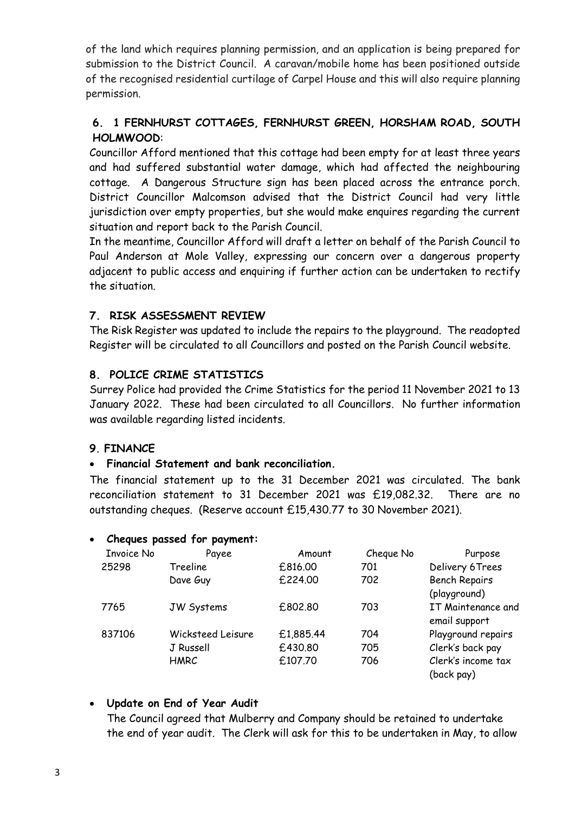of the land which requires planning permission, and an application is being prepared for submission to the District Council. A caravan/mobile home has been positioned outside of the recognised residential curtilage of Carpel House and this will also require planning permission.

# **6. 1 FERNHURST COTTAGES, FERNHURST GREEN, HORSHAM ROAD, SOUTH HOLMWOOD**:

Councillor Afford mentioned that this cottage had been empty for at least three years and had suffered substantial water damage, which had affected the neighbouring cottage. A Dangerous Structure sign has been placed across the entrance porch. District Councillor Malcomson advised that the District Council had very little jurisdiction over empty properties, but she would make enquires regarding the current situation and report back to the Parish Council.

In the meantime, Councillor Afford will draft a letter on behalf of the Parish Council to Paul Anderson at Mole Valley, expressing our concern over a dangerous property adjacent to public access and enquiring if further action can be undertaken to rectify the situation.

## **7. RISK ASSESSMENT REVIEW**

The Risk Register was updated to include the repairs to the playground. The readopted Register will be circulated to all Councillors and posted on the Parish Council website.

## **8. POLICE CRIME STATISTICS**

Surrey Police had provided the Crime Statistics for the period 11 November 2021 to 13 January 2022. These had been circulated to all Councillors. No further information was available regarding listed incidents.

## **9. FINANCE**

## • **Financial Statement and bank reconciliation.**

The financial statement up to the 31 December 2021 was circulated. The bank reconciliation statement to 31 December 2021 was £19,082.32. There are no outstanding cheques. (Reserve account £15,430.77 to 30 November 2021).

|                   | Cheques passed for payment: |           |           |                      |
|-------------------|-----------------------------|-----------|-----------|----------------------|
| <b>Invoice No</b> | Payee                       | Amount    | Cheque No | Purpose              |
| 25298             | Treeline                    | £816.00   | 701       | Delivery 6Trees      |
|                   | Dave Guy                    | £224.00   | 702       | <b>Bench Repairs</b> |
|                   |                             |           |           | (playground)         |
| 7765              | <b>JW Systems</b>           | £802.80   | 703       | IT Maintenance and   |
|                   |                             |           |           | email support        |
| 837106            | Wicksteed Leisure           | £1,885.44 | 704       | Playground repairs   |
|                   | J Russell                   | £430.80   | 705       | Clerk's back pay     |
|                   | HMRC                        | £107.70   | 706       | Clerk's income tax   |
|                   |                             |           |           | (back pay)           |
|                   |                             |           |           |                      |

## • **Cheques passed for payment:**

#### • **Update on End of Year Audit**

The Council agreed that Mulberry and Company should be retained to undertake the end of year audit. The Clerk will ask for this to be undertaken in May, to allow